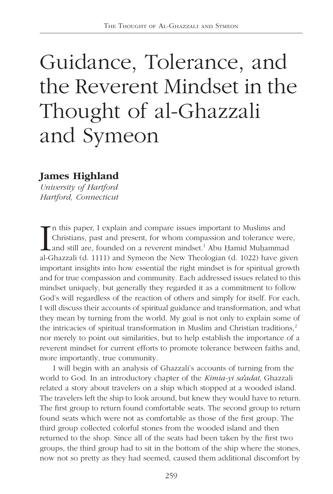## Guidance, Tolerance, and the Reverent Mindset in the Thought of al-Ghazzali and Symeon

## **James Highland**

*University of Hartford Hartford, Connecticut*

 $\prod_{a \in G}$ n this paper, I explain and compare issues important to Muslims and Christians, past and present, for whom compassion and tolerance were, and still are, founded on a reverent mindset.<sup>1</sup> Abu Hamid Muhammad al-Ghazzali (d. 1111) and Symeon the New Theologian (d. 1022) have given important insights into how essential the right mindset is for spiritual growth and for true compassion and community. Each addressed issues related to this mindset uniquely, but generally they regarded it as a commitment to follow God's will regardless of the reaction of others and simply for itself. For each, I will discuss their accounts of spiritual guidance and transformation, and what they mean by turning from the world. My goal is not only to explain some of the intricacies of spiritual transformation in Muslim and Christian traditions, $2$ nor merely to point out similarities, but to help establish the importance of a reverent mindset for current efforts to promote tolerance between faiths and, more importantly, true community.

I will begin with an analysis of Ghazzali's accounts of turning from the world to God. In an introductory chapter of the *Kimia-yi sa"adat*, Ghazzali related a story about travelers on a ship which stopped at a wooded island. The travelers left the ship to look around, but knew they would have to return. The first group to return found comfortable seats. The second group to return found seats which were not as comfortable as those of the first group. The third group collected colorful stones from the wooded island and then returned to the shop. Since all of the seats had been taken by the first two groups, the third group had to sit in the bottom of the ship where the stones, now not so pretty as they had seemed, caused them additional discomfort by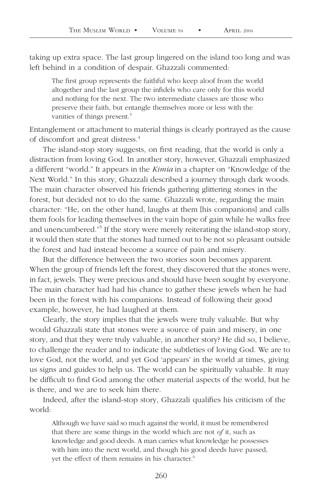taking up extra space. The last group lingered on the island too long and was left behind in a condition of despair. Ghazzali commented:

The first group represents the faithful who keep aloof from the world altogether and the last group the infidels who care only for this world and nothing for the next. The two intermediate classes are those who preserve their faith, but entangle themselves more or less with the vanities of things present.<sup>3</sup>

Entanglement or attachment to material things is clearly portrayed as the cause of discomfort and great distress.4

The island-stop story suggests, on first reading, that the world is only a distraction from loving God. In another story, however, Ghazzali emphasized a different "world." It appears in the *Kimia* in a chapter on "Knowledge of the Next World." In this story, Ghazzali described a journey through dark woods. The main character observed his friends gathering glittering stones in the forest, but decided not to do the same. Ghazzali wrote, regarding the main character: "He, on the other hand, laughs at them [his companions] and calls them fools for leading themselves in the vain hope of gain while he walks free and unencumbered."5 If the story were merely reiterating the island-stop story, it would then state that the stones had turned out to be not so pleasant outside the forest and had instead become a source of pain and misery.

But the difference between the two stories soon becomes apparent. When the group of friends left the forest, they discovered that the stones were, in fact, jewels. They were precious and should have been sought by everyone. The main character had had his chance to gather these jewels when he had been in the forest with his companions. Instead of following their good example, however, he had laughed at them.

Clearly, the story implies that the jewels were truly valuable. But why would Ghazzali state that stones were a source of pain and misery, in one story, and that they were truly valuable, in another story? He did so, I believe, to challenge the reader and to indicate the subtleties of loving God. We are to love God, not the world, and yet God 'appears' in the world at times, giving us signs and guides to help us. The world can be spiritually valuable. It may be difficult to find God among the other material aspects of the world, but he is there, and we are to seek him there.

Indeed, after the island-stop story, Ghazzali qualifies his criticism of the world:

Although we have said so much against the world, it must be remembered that there are some things in the world which are not *of* it, such as knowledge and good deeds. A man carries what knowledge he possesses with him into the next world, and though his good deeds have passed, yet the effect of them remains in his character.<sup>6</sup>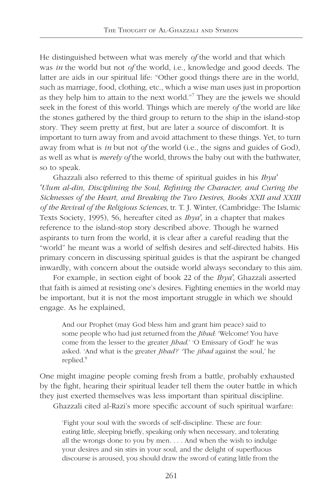He distinguished between what was merely *of* the world and that which was *in* the world but not *of* the world, i.e., knowledge and good deeds. The latter are aids in our spiritual life: "Other good things there are in the world, such as marriage, food, clothing, etc., which a wise man uses just in proportion as they help him to attain to the next world."7 They are the jewels we should seek in the forest of this world. Things which are merely *of* the world are like the stones gathered by the third group to return to the ship in the island-stop story. They seem pretty at first, but are later a source of discomfort. It is important to turn away from and avoid attachment to these things. Yet, to turn away from what is *in* but not *of* the world (i.e., the signs and guides of God), as well as what is *merely of* the world, throws the baby out with the bathwater, so to speak.

Ghazzali also referred to this theme of spiritual guides in his *Ihya"* "*Ulum al-din, Disciplining the Soul, Refining the Character, and Curing the Sicknesses of the Heart, and Breaking the Two Desires, Books XXII and XXIII of the Revival of the Religious Sciences*, tr. T. J. Winter, (Cambridge: The Islamic Texts Society, 1995), 56, hereafter cited as *Ihya"*, in a chapter that makes reference to the island-stop story described above. Though he warned aspirants to turn from the world, it is clear after a careful reading that the "world" he meant was a world of selfish desires and self-directed habits. His primary concern in discussing spiritual guides is that the aspirant be changed inwardly, with concern about the outside world always secondary to this aim.

For example, in section eight of book 22 of the *Ihya"*, Ghazzali asserted that faith is aimed at resisting one's desires. Fighting enemies in the world may be important, but it is not the most important struggle in which we should engage. As he explained,

And our Prophet (may God bless him and grant him peace) said to some people who had just returned from the *Jihad*: 'Welcome! You have come from the lesser to the greater *Jihad*.' 'O Emissary of God!' he was asked. 'And what is the greater *Jihad* ?' 'The *jihad* against the soul,' he replied.<sup>8</sup>

One might imagine people coming fresh from a battle, probably exhausted by the fight, hearing their spiritual leader tell them the outer battle in which they just exerted themselves was less important than spiritual discipline.

Ghazzali cited al-Razi's more specific account of such spiritual warfare:

'Fight your soul with the swords of self-discipline. These are four: eating little, sleeping briefly, speaking only when necessary, and tolerating all the wrongs done to you by men. . . . And when the wish to indulge your desires and sin stirs in your soul, and the delight of superfluous discourse is aroused, you should draw the sword of eating little from the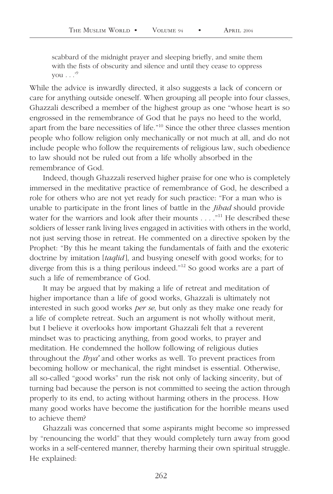scabbard of the midnight prayer and sleeping briefly, and smite them with the fists of obscurity and silence and until they cease to oppress vou  $\ldots$ <sup>9</sup>

While the advice is inwardly directed, it also suggests a lack of concern or care for anything outside oneself. When grouping all people into four classes, Ghazzali described a member of the highest group as one "whose heart is so engrossed in the remembrance of God that he pays no heed to the world, apart from the bare necessities of life."10 Since the other three classes mention people who follow religion only mechanically or not much at all, and do not include people who follow the requirements of religious law, such obedience to law should not be ruled out from a life wholly absorbed in the remembrance of God.

Indeed, though Ghazzali reserved higher praise for one who is completely immersed in the meditative practice of remembrance of God, he described a role for others who are not yet ready for such practice: "For a man who is unable to participate in the front lines of battle in the *Jihad* should provide water for the warriors and look after their mounts . . . . "<sup>11</sup> He described these soldiers of lesser rank living lives engaged in activities with others in the world, not just serving those in retreat. He commented on a directive spoken by the Prophet: "By this he meant taking the fundamentals of faith and the exoteric doctrine by imitation [*taqlid* ], and busying oneself with good works; for to diverge from this is a thing perilous indeed."12 So good works are a part of such a life of remembrance of God.

It may be argued that by making a life of retreat and meditation of higher importance than a life of good works, Ghazzali is ultimately not interested in such good works *per se*, but only as they make one ready for a life of complete retreat. Such an argument is not wholly without merit, but I believe it overlooks how important Ghazzali felt that a reverent mindset was to practicing anything, from good works, to prayer and meditation. He condemned the hollow following of religious duties throughout the *Ihya"* and other works as well. To prevent practices from becoming hollow or mechanical, the right mindset is essential. Otherwise, all so-called "good works" run the risk not only of lacking sincerity, but of turning bad because the person is not committed to seeing the action through properly to its end, to acting without harming others in the process. How many good works have become the justification for the horrible means used to achieve them?

Ghazzali was concerned that some aspirants might become so impressed by "renouncing the world" that they would completely turn away from good works in a self-centered manner, thereby harming their own spiritual struggle. He explained: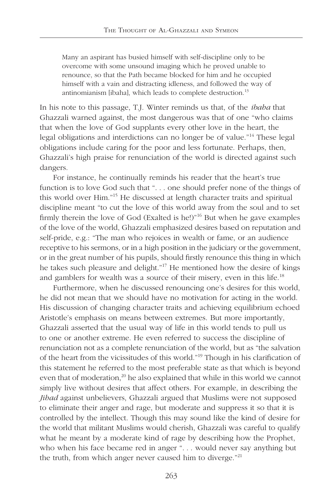Many an aspirant has busied himself with self-discipline only to be overcome with some unsound imaging which he proved unable to renounce, so that the Path became blocked for him and he occupied himself with a vain and distracting idleness, and followed the way of antinomianism [ibaha], which leads to complete destruction.<sup>13</sup>

In his note to this passage, T.J. Winter reminds us that, of the *ibaha* that Ghazzali warned against, the most dangerous was that of one "who claims that when the love of God supplants every other love in the heart, the legal obligations and interdictions can no longer be of value."14 These legal obligations include caring for the poor and less fortunate. Perhaps, then, Ghazzali's high praise for renunciation of the world is directed against such dangers.

For instance, he continually reminds his reader that the heart's true function is to love God such that ". . . one should prefer none of the things of this world over Him."15 He discussed at length character traits and spiritual discipline meant "to cut the love of this world away from the soul and to set firmly therein the love of God (Exalted is he!)"<sup>16</sup> But when he gave examples of the love of the world, Ghazzali emphasized desires based on reputation and self-pride, e.g.: "The man who rejoices in wealth or fame, or an audience receptive to his sermons, or in a high position in the judiciary or the government, or in the great number of his pupils, should firstly renounce this thing in which he takes such pleasure and delight."17 He mentioned how the desire of kings and gamblers for wealth was a source of their misery, even in this life.<sup>18</sup>

Furthermore, when he discussed renouncing one's desires for this world, he did not mean that we should have no motivation for acting in the world. His discussion of changing character traits and achieving equilibrium echoed Aristotle's emphasis on means between extremes. But more importantly, Ghazzali asserted that the usual way of life in this world tends to pull us to one or another extreme. He even referred to success the discipline of renunciation not as a complete renunciation of the world, but as "the salvation of the heart from the vicissitudes of this world."19 Though in his clarification of this statement he referred to the most preferable state as that which is beyond even that of moderation,<sup>20</sup> he also explained that while in this world we cannot simply live without desires that affect others. For example, in describing the *Jihad* against unbelievers, Ghazzali argued that Muslims were not supposed to eliminate their anger and rage, but moderate and suppress it so that it is controlled by the intellect. Though this may sound like the kind of desire for the world that militant Muslims would cherish, Ghazzali was careful to qualify what he meant by a moderate kind of rage by describing how the Prophet, who when his face became red in anger ". . . would never say anything but the truth, from which anger never caused him to diverge."<sup>21</sup>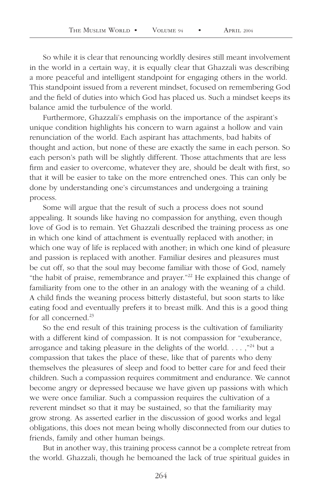So while it is clear that renouncing worldly desires still meant involvement in the world in a certain way, it is equally clear that Ghazzali was describing a more peaceful and intelligent standpoint for engaging others in the world. This standpoint issued from a reverent mindset, focused on remembering God and the field of duties into which God has placed us. Such a mindset keeps its balance amid the turbulence of the world.

Furthermore, Ghazzali's emphasis on the importance of the aspirant's unique condition highlights his concern to warn against a hollow and vain renunciation of the world. Each aspirant has attachments, bad habits of thought and action, but none of these are exactly the same in each person. So each person's path will be slightly different. Those attachments that are less firm and easier to overcome, whatever they are, should be dealt with first, so that it will be easier to take on the more entrenched ones. This can only be done by understanding one's circumstances and undergoing a training process.

Some will argue that the result of such a process does not sound appealing. It sounds like having no compassion for anything, even though love of God is to remain. Yet Ghazzali described the training process as one in which one kind of attachment is eventually replaced with another; in which one way of life is replaced with another; in which one kind of pleasure and passion is replaced with another. Familiar desires and pleasures must be cut off, so that the soul may become familiar with those of God, namely "the habit of praise, remembrance and prayer."22 He explained this change of familiarity from one to the other in an analogy with the weaning of a child. A child finds the weaning process bitterly distasteful, but soon starts to like eating food and eventually prefers it to breast milk. And this is a good thing for all concerned.<sup>23</sup>

So the end result of this training process is the cultivation of familiarity with a different kind of compassion. It is not compassion for "exuberance, arrogance and taking pleasure in the delights of the world.  $\dots$ ,  $n^{24}$  but a compassion that takes the place of these, like that of parents who deny themselves the pleasures of sleep and food to better care for and feed their children. Such a compassion requires commitment and endurance. We cannot become angry or depressed because we have given up passions with which we were once familiar. Such a compassion requires the cultivation of a reverent mindset so that it may be sustained, so that the familiarity may grow strong. As asserted earlier in the discussion of good works and legal obligations, this does not mean being wholly disconnected from our duties to friends, family and other human beings.

But in another way, this training process cannot be a complete retreat from the world. Ghazzali, though he bemoaned the lack of true spiritual guides in

264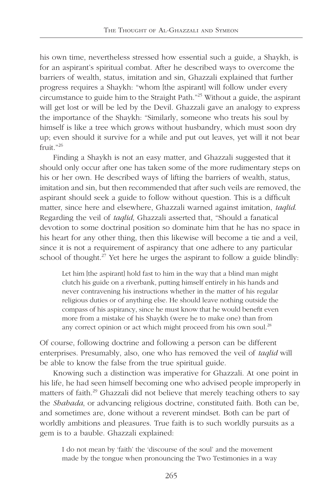his own time, nevertheless stressed how essential such a guide, a Shaykh, is for an aspirant's spiritual combat. After he described ways to overcome the barriers of wealth, status, imitation and sin, Ghazzali explained that further progress requires a Shaykh: "whom [the aspirant] will follow under every circumstance to guide him to the Straight Path."25 Without a guide, the aspirant will get lost or will be led by the Devil. Ghazzali gave an analogy to express the importance of the Shaykh: "Similarly, someone who treats his soul by himself is like a tree which grows without husbandry, which must soon dry up; even should it survive for a while and put out leaves, yet will it not bear fruit  $"^{26}$ 

Finding a Shaykh is not an easy matter, and Ghazzali suggested that it should only occur after one has taken some of the more rudimentary steps on his or her own. He described ways of lifting the barriers of wealth, status, imitation and sin, but then recommended that after such veils are removed, the aspirant should seek a guide to follow without question. This is a difficult matter, since here and elsewhere, Ghazzali warned against imitation, *taqlid*. Regarding the veil of *taqlid*, Ghazzali asserted that, "Should a fanatical devotion to some doctrinal position so dominate him that he has no space in his heart for any other thing, then this likewise will become a tie and a veil, since it is not a requirement of aspirancy that one adhere to any particular school of thought.<sup>27</sup> Yet here he urges the aspirant to follow a guide blindly:

Let him [the aspirant] hold fast to him in the way that a blind man might clutch his guide on a riverbank, putting himself entirely in his hands and never contravening his instructions whether in the matter of his regular religious duties or of anything else. He should leave nothing outside the compass of his aspirancy, since he must know that he would benefit even more from a mistake of his Shaykh (were he to make one) than from any correct opinion or act which might proceed from his own soul.<sup>28</sup>

Of course, following doctrine and following a person can be different enterprises. Presumably, also, one who has removed the veil of *taqlid* will be able to know the false from the true spiritual guide.

Knowing such a distinction was imperative for Ghazzali. At one point in his life, he had seen himself becoming one who advised people improperly in matters of faith.<sup>29</sup> Ghazzali did not believe that merely teaching others to say the *Shahada*, or advancing religious doctrine, constituted faith. Both can be, and sometimes are, done without a reverent mindset. Both can be part of worldly ambitions and pleasures. True faith is to such worldly pursuits as a gem is to a bauble. Ghazzali explained:

I do not mean by 'faith' the 'discourse of the soul' and the movement made by the tongue when pronouncing the Two Testimonies in a way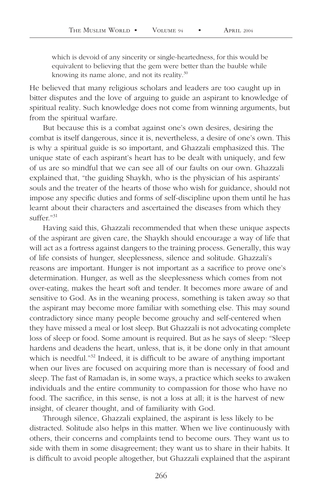which is devoid of any sincerity or single-heartedness, for this would be equivalent to believing that the gem were better than the bauble while knowing its name alone, and not its reality.<sup>30</sup>

He believed that many religious scholars and leaders are too caught up in bitter disputes and the love of arguing to guide an aspirant to knowledge of spiritual reality. Such knowledge does not come from winning arguments, but from the spiritual warfare.

But because this is a combat against one's own desires, desiring the combat is itself dangerous, since it is, nevertheless, a desire of one's own. This is why a spiritual guide is so important, and Ghazzali emphasized this. The unique state of each aspirant's heart has to be dealt with uniquely, and few of us are so mindful that we can see all of our faults on our own. Ghazzali explained that, "the guiding Shaykh, who is the physician of his aspirants' souls and the treater of the hearts of those who wish for guidance, should not impose any specific duties and forms of self-discipline upon them until he has learnt about their characters and ascertained the diseases from which they suffer $.31$ 

Having said this, Ghazzali recommended that when these unique aspects of the aspirant are given care, the Shaykh should encourage a way of life that will act as a fortress against dangers to the training process. Generally, this way of life consists of hunger, sleeplessness, silence and solitude. Ghazzali's reasons are important. Hunger is not important as a sacrifice to prove one's determination. Hunger, as well as the sleeplessness which comes from not over-eating, makes the heart soft and tender. It becomes more aware of and sensitive to God. As in the weaning process, something is taken away so that the aspirant may become more familiar with something else. This may sound contradictory since many people become grouchy and self-centered when they have missed a meal or lost sleep. But Ghazzali is not advocating complete loss of sleep or food. Some amount is required. But as he says of sleep: "Sleep hardens and deadens the heart, unless, that is, it be done only in that amount which is needful."<sup>32</sup> Indeed, it is difficult to be aware of anything important when our lives are focused on acquiring more than is necessary of food and sleep. The fast of Ramadan is, in some ways, a practice which seeks to awaken individuals and the entire community to compassion for those who have no food. The sacrifice, in this sense, is not a loss at all; it is the harvest of new insight, of clearer thought, and of familiarity with God.

Through silence, Ghazzali explained, the aspirant is less likely to be distracted. Solitude also helps in this matter. When we live continuously with others, their concerns and complaints tend to become ours. They want us to side with them in some disagreement; they want us to share in their habits. It is difficult to avoid people altogether, but Ghazzali explained that the aspirant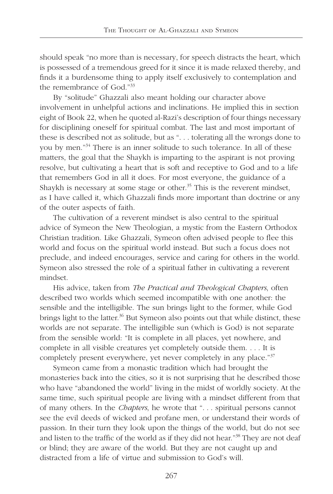should speak "no more than is necessary, for speech distracts the heart, which is possessed of a tremendous greed for it since it is made relaxed thereby, and finds it a burdensome thing to apply itself exclusively to contemplation and the remembrance of God."33

By "solitude" Ghazzali also meant holding our character above involvement in unhelpful actions and inclinations. He implied this in section eight of Book 22, when he quoted al-Razi's description of four things necessary for disciplining oneself for spiritual combat. The last and most important of these is described not as solitude, but as ". . . tolerating all the wrongs done to you by men."34 There is an inner solitude to such tolerance. In all of these matters, the goal that the Shaykh is imparting to the aspirant is not proving resolve, but cultivating a heart that is soft and receptive to God and to a life that remembers God in all it does. For most everyone, the guidance of a Shaykh is necessary at some stage or other.<sup>35</sup> This is the reverent mindset, as I have called it, which Ghazzali finds more important than doctrine or any of the outer aspects of faith.

The cultivation of a reverent mindset is also central to the spiritual advice of Symeon the New Theologian, a mystic from the Eastern Orthodox Christian tradition. Like Ghazzali, Symeon often advised people to flee this world and focus on the spiritual world instead. But such a focus does not preclude, and indeed encourages, service and caring for others in the world. Symeon also stressed the role of a spiritual father in cultivating a reverent mindset.

His advice, taken from *The Practical and Theological Chapters*, often described two worlds which seemed incompatible with one another: the sensible and the intelligible. The sun brings light to the former, while God brings light to the latter. $36$  But Symeon also points out that while distinct, these worlds are not separate. The intelligible sun (which is God) is not separate from the sensible world: "It is complete in all places, yet nowhere, and complete in all visible creatures yet completely outside them. . . . It is completely present everywhere, yet never completely in any place."37

Symeon came from a monastic tradition which had brought the monasteries back into the cities, so it is not surprising that he described those who have "abandoned the world" living in the midst of worldly society. At the same time, such spiritual people are living with a mindset different from that of many others. In the *Chapters*, he wrote that ". . . spiritual persons cannot see the evil deeds of wicked and profane men, or understand their words of passion. In their turn they look upon the things of the world, but do not see and listen to the traffic of the world as if they did not hear."38 They are not deaf or blind; they are aware of the world. But they are not caught up and distracted from a life of virtue and submission to God's will.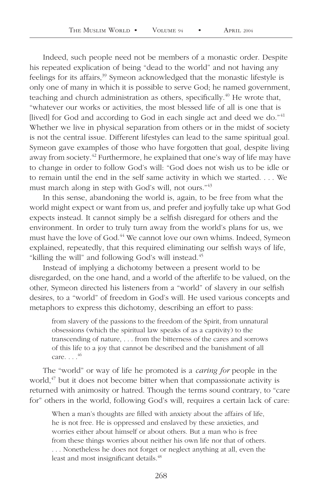Indeed, such people need not be members of a monastic order. Despite his repeated explication of being "dead to the world" and not having any feelings for its affairs,<sup>39</sup> Symeon acknowledged that the monastic lifestyle is only one of many in which it is possible to serve God; he named government, teaching and church administration as others, specifically. $40$  He wrote that, "whatever our works or activities, the most blessed life of all is one that is [lived] for God and according to God in each single act and deed we do."<sup>41</sup> Whether we live in physical separation from others or in the midst of society is not the central issue. Different lifestyles can lead to the same spiritual goal. Symeon gave examples of those who have forgotten that goal, despite living away from society.<sup>42</sup> Furthermore, he explained that one's way of life may have to change in order to follow God's will: "God does not wish us to be idle or to remain until the end in the self same activity in which we started. . . . We must march along in step with God's will, not ours."43

In this sense, abandoning the world is, again, to be free from what the world might expect or want from us, and prefer and joyfully take up what God expects instead. It cannot simply be a selfish disregard for others and the environment. In order to truly turn away from the world's plans for us, we must have the love of God.<sup>44</sup> We cannot love our own whims. Indeed, Symeon explained, repeatedly, that this required eliminating our selfish ways of life, "killing the will" and following God's will instead.<sup>45</sup>

Instead of implying a dichotomy between a present world to be disregarded, on the one hand, and a world of the afterlife to be valued, on the other, Symeon directed his listeners from a "world" of slavery in our selfish desires, to a "world" of freedom in God's will. He used various concepts and metaphors to express this dichotomy, describing an effort to pass:

from slavery of the passions to the freedom of the Spirit, from unnatural obsessions (which the spiritual law speaks of as a captivity) to the transcending of nature, . . . from the bitterness of the cares and sorrows of this life to a joy that cannot be described and the banishment of all care. . . . 46

The "world" or way of life he promoted is a *caring for* people in the world, $47$  but it does not become bitter when that compassionate activity is returned with animosity or hatred. Though the terms sound contrary, to "care for" others in the world, following God's will, requires a certain lack of care:

When a man's thoughts are filled with anxiety about the affairs of life, he is not free. He is oppressed and enslaved by these anxieties, and worries either about himself or about others. But a man who is free from these things worries about neither his own life nor that of others. . . . Nonetheless he does not forget or neglect anything at all, even the least and most insignificant details.<sup>48</sup>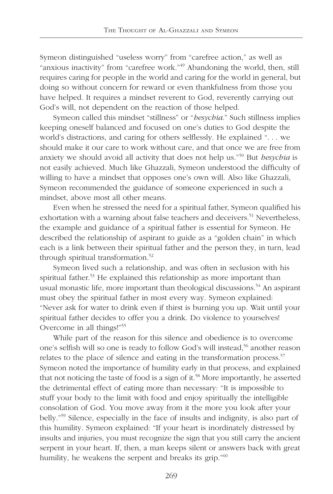Symeon distinguished "useless worry" from "carefree action," as well as "anxious inactivity" from "carefree work."<sup>49</sup> Abandoning the world, then, still requires caring for people in the world and caring for the world in general, but doing so without concern for reward or even thankfulness from those you have helped. It requires a mindset reverent to God, reverently carrying out God's will, not dependent on the reaction of those helped.

Symeon called this mindset "stillness" or "*hesychia*." Such stillness implies keeping oneself balanced and focused on one's duties to God despite the world's distractions, and caring for others selflessly. He explained ". . . we should make it our care to work without care, and that once we are free from anxiety we should avoid all activity that does not help us."50 But *hesychia* is not easily achieved. Much like Ghazzali, Symeon understood the difficulty of willing to have a mindset that opposes one's own will. Also like Ghazzali, Symeon recommended the guidance of someone experienced in such a mindset, above most all other means.

Even when he stressed the need for a spiritual father, Symeon qualified his exhortation with a warning about false teachers and deceivers.<sup>51</sup> Nevertheless, the example and guidance of a spiritual father is essential for Symeon. He described the relationship of aspirant to guide as a "golden chain" in which each is a link between their spiritual father and the person they, in turn, lead through spiritual transformation.<sup>52</sup>

Symeon lived such a relationship, and was often in seclusion with his spiritual father.<sup>53</sup> He explained this relationship as more important than usual monastic life, more important than theological discussions.<sup>54</sup> An aspirant must obey the spiritual father in most every way. Symeon explained: "Never ask for water to drink even if thirst is burning you up. Wait until your spiritual father decides to offer you a drink. Do violence to yourselves! Overcome in all things!"55

While part of the reason for this silence and obedience is to overcome one's selfish will so one is ready to follow God's will instead,<sup>56</sup> another reason relates to the place of silence and eating in the transformation process.<sup>57</sup> Symeon noted the importance of humility early in that process, and explained that not noticing the taste of food is a sign of it.<sup>58</sup> More importantly, he asserted the detrimental effect of eating more than necessary: "It is impossible to stuff your body to the limit with food and enjoy spiritually the intelligible consolation of God. You move away from it the more you look after your belly."59 Silence, especially in the face of insults and indignity, is also part of this humility. Symeon explained: "If your heart is inordinately distressed by insults and injuries, you must recognize the sign that you still carry the ancient serpent in your heart. If, then, a man keeps silent or answers back with great humility, he weakens the serpent and breaks its grip."<sup>60</sup>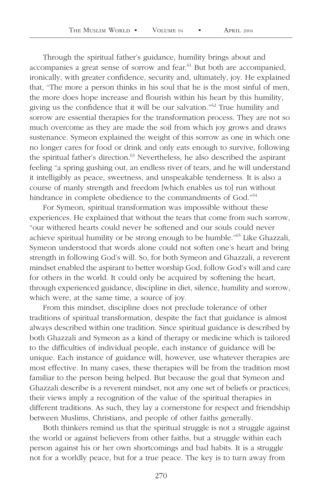Through the spiritual father's guidance, humility brings about and accompanies a great sense of sorrow and fear.<sup>61</sup> But both are accompanied, ironically, with greater confidence, security and, ultimately, joy. He explained that, "The more a person thinks in his soul that he is the most sinful of men, the more does hope increase and flourish within his heart by this humility, giving us the confidence that it will be our salvation."62 True humility and sorrow are essential therapies for the transformation process. They are not so much overcome as they are made the soil from which joy grows and draws sustenance. Symeon explained the weight of this sorrow as one in which one no longer cares for food or drink and only eats enough to survive, following the spiritual father's direction.<sup>63</sup> Nevertheless, he also described the aspirant feeling "a spring gushing out, an endless river of tears, and he will understand it intelligibly as peace, sweetness, and unspeakable tenderness. It is also a course of manly strength and freedom [which enables us to] run without hindrance in complete obedience to the commandments of God."<sup>64</sup>

For Symeon, spiritual transformation was impossible without these experiences. He explained that without the tears that come from such sorrow, "our withered hearts could never be softened and our souls could never achieve spiritual humility or be strong enough to be humble."65 Like Ghazzali, Symeon understood that words alone could not soften one's heart and bring strength in following God's will. So, for both Symeon and Ghazzali, a reverent mindset enabled the aspirant to better worship God, follow God's will and care for others in the world. It could only be acquired by softening the heart, through experienced guidance, discipline in diet, silence, humility and sorrow, which were, at the same time, a source of joy.

From this mindset, discipline does not preclude tolerance of other traditions of spiritual transformation, despite the fact that guidance is almost always described within one tradition. Since spiritual guidance is described by both Ghazzali and Symeon as a kind of therapy or medicine which is tailored to the difficulties of individual people, each instance of guidance will be unique. Each instance of guidance will, however, use whatever therapies are most effective. In many cases, these therapies will be from the tradition most familiar to the person being helped. But because the goal that Symeon and Ghazzali describe is a reverent mindset, not any one set of beliefs or practices; their views imply a recognition of the value of the spiritual therapies in different traditions. As such, they lay a cornerstone for respect and friendship between Muslims, Christians, and people of other faiths generally.

Both thinkers remind us that the spiritual struggle is not a struggle against the world or against believers from other faiths, but a struggle within each person against his or her own shortcomings and bad habits. It is a struggle not for a worldly peace, but for a true peace. The key is to turn away from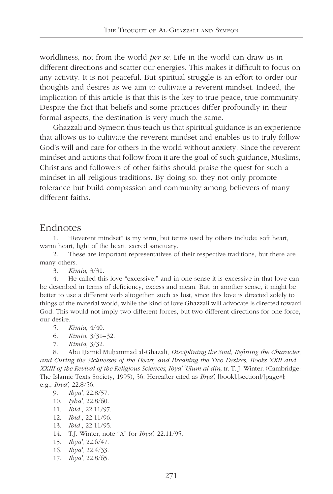worldliness, not from the world *per se*. Life in the world can draw us in different directions and scatter our energies. This makes it difficult to focus on any activity. It is not peaceful. But spiritual struggle is an effort to order our thoughts and desires as we aim to cultivate a reverent mindset. Indeed, the implication of this article is that this is the key to true peace, true community. Despite the fact that beliefs and some practices differ profoundly in their formal aspects, the destination is very much the same.

Ghazzali and Symeon thus teach us that spiritual guidance is an experience that allows us to cultivate the reverent mindset and enables us to truly follow God's will and care for others in the world without anxiety. Since the reverent mindset and actions that follow from it are the goal of such guidance, Muslims, Christians and followers of other faiths should praise the quest for such a mindset in all religious traditions. By doing so, they not only promote tolerance but build compassion and community among believers of many different faiths.

## Endnotes

1. "Reverent mindset" is my term, but terms used by others include: soft heart, warm heart, light of the heart, sacred sanctuary.

2. These are important representatives of their respective traditions, but there are many others.

3. *Kimia*, 3/31.

4. He called this love "excessive," and in one sense it is excessive in that love can be described in terms of deficiency, excess and mean. But, in another sense, it might be better to use a different verb altogether, such as lust, since this love is directed solely to things of the material world, while the kind of love Ghazzali will advocate is directed toward God. This would not imply two different forces, but two different directions for one force, our desire.

5. *Kimia*, 4/40.

- 6. *Kimia*, 3/31–32.
- 7. *Kimia*, 3/32.

8. Abu Hamid Muhammad al-Ghazali, *Disciplining the Soul, Refining the Character, and Curing the Sicknesses of the Heart, and Breaking the Two Desires, Books XXII and XXIII of the Revival of the Religious Sciences*, *Ihya" "Ulum al-din*, tr. T. J. Winter, (Cambridge: The Islamic Texts Society, 1995), 56. Hereafter cited as *Ihya*<sup>2</sup>, [book].[section]/[page#]; e.g., *Ihya"*, 22.8/56.

- 9. *Ihya"*, 22.8/57.
- 10. *Iyha"*, 22.8/60.
- 11. *Ibid.*, 22.11/97.
- 12. *Ibid.*, 22.11/96.
- 13. *Ibid.*, 22.11/95.
- 14. T.J. Winter, note "A" for *Ihya"*, 22.11/95.
- 15. *Ihya"*, 22.6/47.
- 16. *Ihya"*, 22.4/33.
- 17. *Ihya"*, 22.8/65.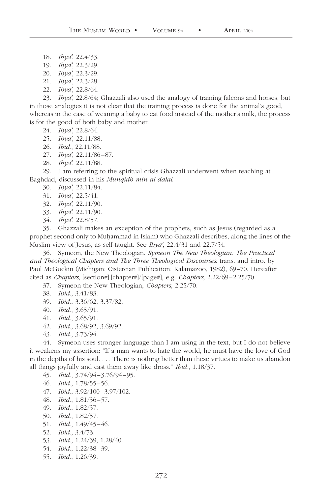- 18. *Ihya"*, 22.4/33.
- 19. *Ihya"*, 22.3/29.
- 20. *Ihya"*, 22.3/29.
- 21. *Ihya"*, 22.3/28.
- 22. *Ihya"*, 22.8/64.

23. *Ihya"*, 22.8/64; Ghazzali also used the analogy of training falcons and horses, but in those analogies it is not clear that the training process is done for the animal's good, whereas in the case of weaning a baby to eat food instead of the mother's milk, the process is for the good of both baby and mother.

- 24. *Ihya"*, 22.8/64.
- 25. *Ihya"*, 22.11/88.
- 26. *Ibid.*, 22.11/88.
- 27. *Ihya"*, 22.11/86–87.
- 28. *Ihya"*, 22.11/88.

29. I am referring to the spiritual crisis Ghazzali underwent when teaching at Baghdad, discussed in his *Munqidh min al-dalal*.

- 30. *Ihya"*, 22.11/84.
- 31. *Ihya"*, 22.5/41.
- 32. *Ihya"*, 22.11/90.
- 33. *Ihya"*, 22.11/90.
- 34. *Ihya"*, 22.8/57.

35. Ghazzali makes an exception of the prophets, such as Jesus (regarded as a prophet second only to Muhammad in Islam) who Ghazzali describes, along the lines of the Muslim view of Jesus, as self-taught. See *Ihya"*, 22.4/31 and 22.7/54.

36. Symeon, the New Theologian. *Symeon The New Theologian: The Practical and Theological Chapters and The Three Theological Discourses*. trans. and intro. by Paul McGuckin (Michigan: Cistercian Publication: Kalamazoo, 1982), 69–70. Hereafter cited as *Chapters*, [section#].[chapter#]/[page#], e.g. *Chapters*, 2.22/69–2.25/70.

37. Symeon the New Theologian, *Chapters*, 2.25/70.

- 38. *Ibid.*, 3.41/83.
- 39. *Ibid.*, 3.36/62, 3.37/82.
- 40. *Ibid.*, 3.65/91.
- 41. *Ibid.*, 3.65/91.
- 42. *Ibid.*, 3.68/92, 3.69/92.
- 43. *Ibid.*, 3.73/94.

44. Symeon uses stronger language than I am using in the text, but I do not believe it weakens my assertion: "If a man wants to hate the world, he must have the love of God in the depths of his soul. . . . There is nothing better than these virtues to make us abandon all things joyfully and cast them away like dross." *Ibid.*, 1.18/37.

- 45. *Ibid.*, 3.74/94–3.76/94–95.
- 46. *Ibid.*, 1.78/55–56.
- 47. *Ibid.*, 3.92/100–3.97/102.
- 48. *Ibid.*, 1.81/56–57.
- 49. *Ibid.*, 1.82/57.
- 50. *Ibid.*, 1.82/57.
- 51. *Ibid.*, 1.49/45–46.
- 52. *Ibid.*, 3.4/73.
- 53. *Ibid.*, 1.24/39; 1.28/40.
- 54. *Ibid.*, 1.22/38–39.
- 55. *Ibid.*, 1.26/39.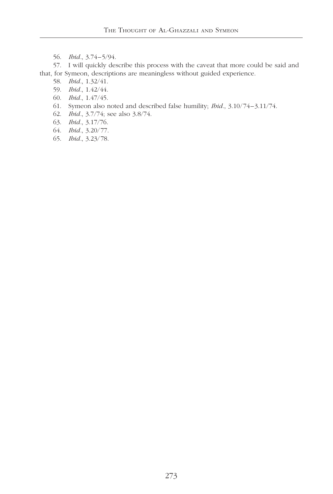56. *Ibid.*, 3.74–5/94.

57. I will quickly describe this process with the caveat that more could be said and that, for Symeon, descriptions are meaningless without guided experience.

- 58. *Ibid.*, 1.32/41.
- 59. *Ibid.*, 1.42/44.
- 60. *Ibid.*, 1.47/45.
- 61. Symeon also noted and described false humility; *Ibid.*, 3.10/74–3.11/74.
- 62. *Ibid.*, 3.7/74; see also 3.8/74.
- 63. *Ibid.*, 3.17/76.
- 64. *Ibid.*, 3.20/77.
- 65. *Ibid.*, 3.23/78.